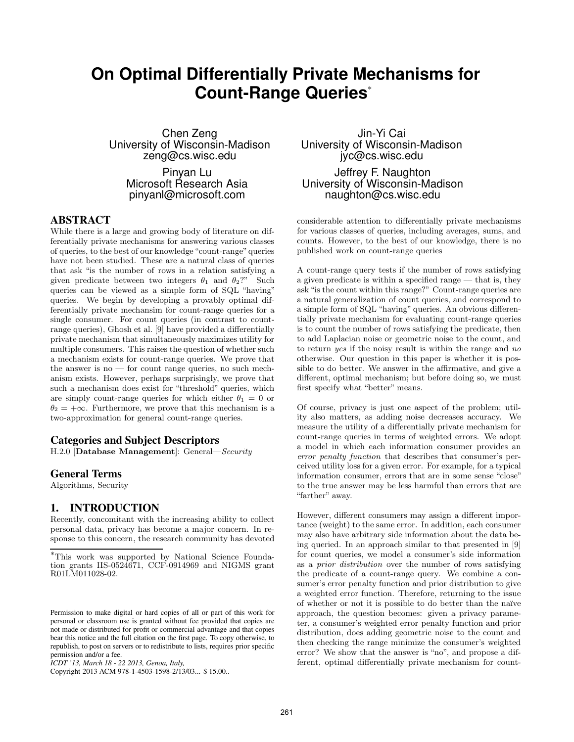# **On Optimal Differentially Private Mechanisms for Count-Range Queries**<sup>∗</sup>

Chen Zeng University of Wisconsin-Madison zeng@cs.wisc.edu

> Pinyan Lu Microsoft Research Asia pinyanl@microsoft.com

# **ABSTRACT**

While there is a large and growing body of literature on differentially private mechanisms for answering various classes of queries, to the best of our knowledge "count-range"queries have not been studied. These are a natural class of queries that ask "is the number of rows in a relation satisfying a given predicate between two integers  $\theta_1$  and  $\theta_2$ ?" Such queries can be viewed as a simple form of SQL "having" queries. We begin by developing a provably optimal differentially private mechansim for count-range queries for a single consumer. For count queries (in contrast to countrange queries), Ghosh et al. [9] have provided a differentially private mechanism that simultaneously maximizes utility for multiple consumers. This raises the question of whether such a mechanism exists for count-range queries. We prove that the answer is no  $-$  for count range queries, no such mechanism exists. However, perhaps surprisingly, we prove that such a mechanism does exist for "threshold" queries, which are simply count-range queries for which either  $\theta_1 = 0$  or  $\theta_2 = +\infty$ . Furthermore, we prove that this mechanism is a two-approximation for general count-range queries.

### **Categories and Subject Descriptors**

H.2.0 [Database Management]: General—Security

### **General Terms**

Algorithms, Security

# **1. INTRODUCTION**

Recently, concomitant with the increasing ability to collect personal data, privacy has become a major concern. In response to this concern, the research community has devoted

Copyright 2013 ACM 978-1-4503-1598-2/13/03... \$ 15.00..

Jin-Yi Cai University of Wisconsin-Madison jyc@cs.wisc.edu

Jeffrey F. Naughton University of Wisconsin-Madison naughton@cs.wisc.edu

considerable attention to differentially private mechanisms for various classes of queries, including averages, sums, and counts. However, to the best of our knowledge, there is no published work on count-range queries

A count-range query tests if the number of rows satisfying a given predicate is within a specified range — that is, they ask "is the count within this range?" Count-range queries are a natural generalization of count queries, and correspond to a simple form of SQL "having" queries. An obvious differentially private mechanism for evaluating count-range queries is to count the number of rows satisfying the predicate, then to add Laplacian noise or geometric noise to the count, and to return yes if the noisy result is within the range and no otherwise. Our question in this paper is whether it is possible to do better. We answer in the affirmative, and give a different, optimal mechanism; but before doing so, we must first specify what "better" means.

Of course, privacy is just one aspect of the problem; utility also matters, as adding noise decreases accuracy. We measure the utility of a differentially private mechanism for count-range queries in terms of weighted errors. We adopt a model in which each information consumer provides an error penalty function that describes that consumer's perceived utility loss for a given error. For example, for a typical information consumer, errors that are in some sense "close" to the true answer may be less harmful than errors that are "farther" away.

However, different consumers may assign a different importance (weight) to the same error. In addition, each consumer may also have arbitrary side information about the data being queried. In an approach similar to that presented in [9] for count queries, we model a consumer's side information as a prior distribution over the number of rows satisfying the predicate of a count-range query. We combine a consumer's error penalty function and prior distribution to give a weighted error function. Therefore, returning to the issue of whether or not it is possible to do better than the na¨ıve approach, the question becomes: given a privacy parameter, a consumer's weighted error penalty function and prior distribution, does adding geometric noise to the count and then checking the range minimize the consumer's weighted error? We show that the answer is "no", and propose a different, optimal differentially private mechanism for count-

<sup>∗</sup>This work was supported by National Science Foundation grants IIS-0524671, CCF-0914969 and NIGMS grant R01LM011028-02.

Permission to make digital or hard copies of all or part of this work for personal or classroom use is granted without fee provided that copies are not made or distributed for profit or commercial advantage and that copies bear this notice and the full citation on the first page. To copy otherwise, to republish, to post on servers or to redistribute to lists, requires prior specific permission and/or a fee.

*ICDT '13, March 18 - 22 2013, Genoa, Italy,*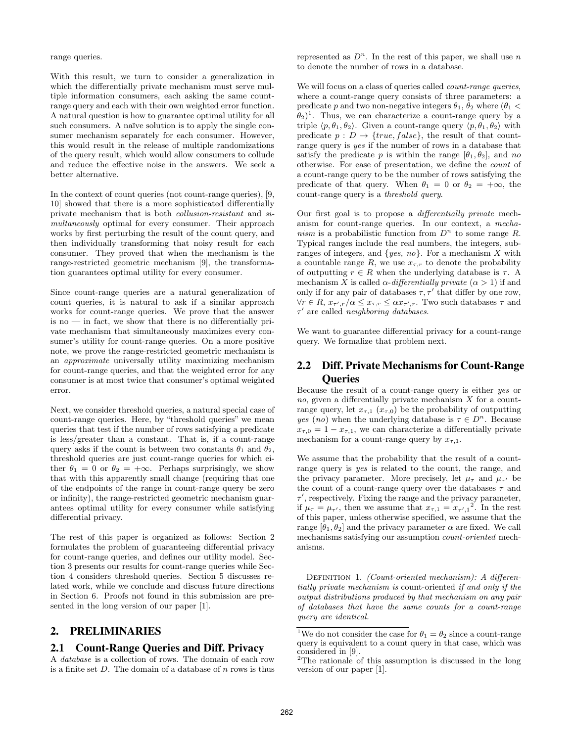range queries.

With this result, we turn to consider a generalization in which the differentially private mechanism must serve multiple information consumers, each asking the same countrange query and each with their own weighted error function. A natural question is how to guarantee optimal utility for all such consumers. A naïve solution is to apply the single consumer mechanism separately for each consumer. However, this would result in the release of multiple randomizations of the query result, which would allow consumers to collude and reduce the effective noise in the answers. We seek a better alternative.

In the context of count queries (not count-range queries), [9, 10] showed that there is a more sophisticated differentially private mechanism that is both collusion-resistant and simultaneously optimal for every consumer. Their approach works by first perturbing the result of the count query, and then individually transforming that noisy result for each consumer. They proved that when the mechanism is the range-restricted geometric mechanism [9], the transformation guarantees optimal utility for every consumer.

Since count-range queries are a natural generalization of count queries, it is natural to ask if a similar approach works for count-range queries. We prove that the answer is no — in fact, we show that there is no differentially private mechanism that simultaneously maximizes every consumer's utility for count-range queries. On a more positive note, we prove the range-restricted geometric mechanism is an approximate universally utility maximizing mechanism for count-range queries, and that the weighted error for any consumer is at most twice that consumer's optimal weighted error.

Next, we consider threshold queries, a natural special case of count-range queries. Here, by "threshold queries" we mean queries that test if the number of rows satisfying a predicate is less/greater than a constant. That is, if a count-range query asks if the count is between two constants  $\theta_1$  and  $\theta_2$ , threshold queries are just count-range queries for which either  $\theta_1 = 0$  or  $\theta_2 = +\infty$ . Perhaps surprisingly, we show that with this apparently small change (requiring that one of the endpoints of the range in count-range query be zero or infinity), the range-restricted geometric mechanism guarantees optimal utility for every consumer while satisfying differential privacy.

The rest of this paper is organized as follows: Section 2 formulates the problem of guaranteeing differential privacy for count-range queries, and defines our utility model. Section 3 presents our results for count-range queries while Section 4 considers threshold queries. Section 5 discusses related work, while we conclude and discuss future directions in Section 6. Proofs not found in this submission are presented in the long version of our paper [1].

### **2. PRELIMINARIES**

### **2.1 Count-Range Queries and Diff. Privacy**

A database is a collection of rows. The domain of each row is a finite set  $D$ . The domain of a database of  $n$  rows is thus

represented as  $D^n$ . In the rest of this paper, we shall use n to denote the number of rows in a database.

We will focus on a class of queries called *count-range queries*, where a count-range query consists of three parameters: a predicate p and two non-negative integers  $\theta_1$ ,  $\theta_2$  where  $(\theta_1$  $(\theta_2)^1$ . Thus, we can characterize a count-range query by a triple  $\langle p, \theta_1, \theta_2 \rangle$ . Given a count-range query  $\langle p, \theta_1, \theta_2 \rangle$  with predicate  $p : D \to \{true, false\}$ , the result of that countrange query is yes if the number of rows in a database that satisfy the predicate p is within the range  $[\theta_1, \theta_2]$ , and no otherwise. For ease of presentation, we define the count of a count-range query to be the number of rows satisfying the predicate of that query. When  $\theta_1 = 0$  or  $\theta_2 = +\infty$ , the count-range query is a threshold query.

Our first goal is to propose a differentially private mechanism for count-range queries. In our context, a mechanism is a probabilistic function from  $D^n$  to some range R. Typical ranges include the real numbers, the integers, subranges of integers, and  $\{yes, no\}$ . For a mechanism X with a countable range  $R$ , we use  $x_{\tau,r}$  to denote the probability of outputting  $r \in R$  when the underlying database is  $\tau$ . A mechanism X is called  $\alpha$ -differentially private  $(\alpha > 1)$  if and only if for any pair of databases  $\tau, \tau'$  that differ by one row,  $\forall r \in R$ ,  $x_{\tau',r}/\alpha \leq x_{\tau,r} \leq \alpha x_{\tau',r}$ . Two such databases  $\tau$  and  $\tau'$  are called *neighboring databases*.

We want to guarantee differential privacy for a count-range query. We formalize that problem next.

# **2.2 Diff. Private Mechanisms for Count-Range Queries**

Because the result of a count-range query is either yes or no, given a differentially private mechanism  $X$  for a countrange query, let  $x_{\tau,1}$   $(x_{\tau,0})$  be the probability of outputting *yes* (no) when the underlying database is  $\tau \in D^n$ . Because  $x_{\tau,0} = 1 - x_{\tau,1}$ , we can characterize a differentially private mechanism for a count-range query by  $x_{\tau,1}$ .

We assume that the probability that the result of a countrange query is yes is related to the count, the range, and the privacy parameter. More precisely, let  $\mu_{\tau}$  and  $\mu_{\tau'}$  be the count of a count-range query over the databases  $\tau$  and  $\tau'$ , respectively. Fixing the range and the privacy parameter, if  $\mu_{\tau} = \mu_{\tau'}$ , then we assume that  $x_{\tau,1} = x_{\tau',1}^2$ . In the rest of this paper, unless otherwise specified, we assume that the range  $[\theta_1, \theta_2]$  and the privacy parameter  $\alpha$  are fixed. We call mechanisms satisfying our assumption count-oriented mechanisms.

DEFINITION 1. (Count-oriented mechanism): A differentially private mechanism is count-oriented if and only if the output distributions produced by that mechanism on any pair of databases that have the same counts for a count-range query are identical.

<sup>&</sup>lt;sup>1</sup>We do not consider the case for  $\theta_1 = \theta_2$  since a count-range query is equivalent to a count query in that case, which was considered in [9].

<sup>2</sup>The rationale of this assumption is discussed in the long version of our paper [1].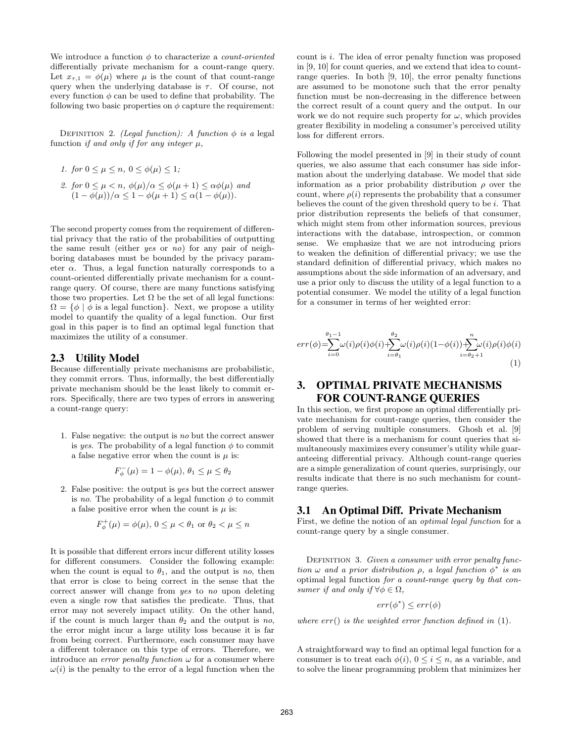We introduce a function  $\phi$  to characterize a *count-oriented* differentially private mechanism for a count-range query. Let  $x_{\tau,1} = \phi(\mu)$  where  $\mu$  is the count of that count-range query when the underlying database is  $\tau$ . Of course, not every function  $\phi$  can be used to define that probability. The following two basic properties on  $\phi$  capture the requirement:

DEFINITION 2. (Legal function): A function  $\phi$  is a legal function if and only if for any integer  $\mu$ ,

- 1. for  $0 \leq \mu \leq n$ ,  $0 \leq \phi(\mu) \leq 1$ ;
- 2. for  $0 \leq \mu < n$ ,  $\phi(\mu)/\alpha \leq \phi(\mu+1) \leq \alpha\phi(\mu)$  and  $(1 - \phi(\mu))/\alpha \leq 1 - \phi(\mu + 1) \leq \alpha(1 - \phi(\mu)).$

The second property comes from the requirement of differential privacy that the ratio of the probabilities of outputting the same result (either yes or no) for any pair of neighboring databases must be bounded by the privacy parameter  $\alpha$ . Thus, a legal function naturally corresponds to a count-oriented differentially private mechanism for a countrange query. Of course, there are many functions satisfying those two properties. Let  $\Omega$  be the set of all legal functions:  $\Omega = \{\phi \mid \phi \text{ is a legal function}\}\$ . Next, we propose a utility model to quantify the quality of a legal function. Our first goal in this paper is to find an optimal legal function that maximizes the utility of a consumer.

### **2.3 Utility Model**

Because differentially private mechanisms are probabilistic, they commit errors. Thus, informally, the best differentially private mechanism should be the least likely to commit errors. Specifically, there are two types of errors in answering a count-range query:

1. False negative: the output is no but the correct answer is yes. The probability of a legal function  $\phi$  to commit a false negative error when the count is  $\mu$  is:

$$
F_{\phi}^{-}(\mu) = 1 - \phi(\mu), \, \theta_1 \le \mu \le \theta_2
$$

2. False positive: the output is yes but the correct answer is no. The probability of a legal function  $\phi$  to commit a false positive error when the count is  $\mu$  is:

$$
F_{\phi}^{+}(\mu) = \phi(\mu), 0 \le \mu < \theta_1 \text{ or } \theta_2 < \mu \le n
$$

It is possible that different errors incur different utility losses for different consumers. Consider the following example: when the count is equal to  $\theta_1$ , and the output is no, then that error is close to being correct in the sense that the correct answer will change from yes to no upon deleting even a single row that satisfies the predicate. Thus, that error may not severely impact utility. On the other hand, if the count is much larger than  $\theta_2$  and the output is no, the error might incur a large utility loss because it is far from being correct. Furthermore, each consumer may have a different tolerance on this type of errors. Therefore, we introduce an *error penalty function*  $\omega$  for a consumer where  $\omega(i)$  is the penalty to the error of a legal function when the

count is i. The idea of error penalty function was proposed in [9, 10] for count queries, and we extend that idea to countrange queries. In both [9, 10], the error penalty functions are assumed to be monotone such that the error penalty function must be non-decreasing in the difference between the correct result of a count query and the output. In our work we do not require such property for  $\omega$ , which provides greater flexibility in modeling a consumer's perceived utility loss for different errors.

Following the model presented in [9] in their study of count queries, we also assume that each consumer has side information about the underlying database. We model that side information as a prior probability distribution  $\rho$  over the count, where  $\rho(i)$  represents the probability that a consumer believes the count of the given threshold query to be  $i$ . That prior distribution represents the beliefs of that consumer, which might stem from other information sources, previous interactions with the database, introspection, or common sense. We emphasize that we are not introducing priors to weaken the definition of differential privacy; we use the standard definition of differential privacy, which makes no assumptions about the side information of an adversary, and use a prior only to discuss the utility of a legal function to a potential consumer. We model the utility of a legal function for a consumer in terms of her weighted error:

$$
err(\phi) = \sum_{i=0}^{\theta_1 - 1} \omega(i)\rho(i)\phi(i) + \sum_{i=\theta_1}^{\theta_2} \omega(i)\rho(i)(1 - \phi(i)) + \sum_{i=\theta_2 + 1}^n \omega(i)\rho(i)\phi(i)
$$
\n(1)

# **3. OPTIMAL PRIVATE MECHANISMS FOR COUNT-RANGE QUERIES**

In this section, we first propose an optimal differentially private mechanism for count-range queries, then consider the problem of serving multiple consumers. Ghosh et al. [9] showed that there is a mechanism for count queries that simultaneously maximizes every consumer's utility while guaranteeing differential privacy. Although count-range queries are a simple generalization of count queries, surprisingly, our results indicate that there is no such mechanism for countrange queries.

# **3.1 An Optimal Diff. Private Mechanism**

First, we define the notion of an optimal legal function for a count-range query by a single consumer.

DEFINITION 3. Given a consumer with error penalty function  $\omega$  and a prior distribution  $\rho$ , a legal function  $\phi^*$  is an optimal legal function for a count-range query by that consumer if and only if  $\forall \phi \in \Omega$ ,

$$
err(\phi^*) \leq err(\phi)
$$

where  $err()$  is the weighted error function defined in  $(1)$ .

A straightforward way to find an optimal legal function for a consumer is to treat each  $\phi(i)$ ,  $0 \leq i \leq n$ , as a variable, and to solve the linear programming problem that minimizes her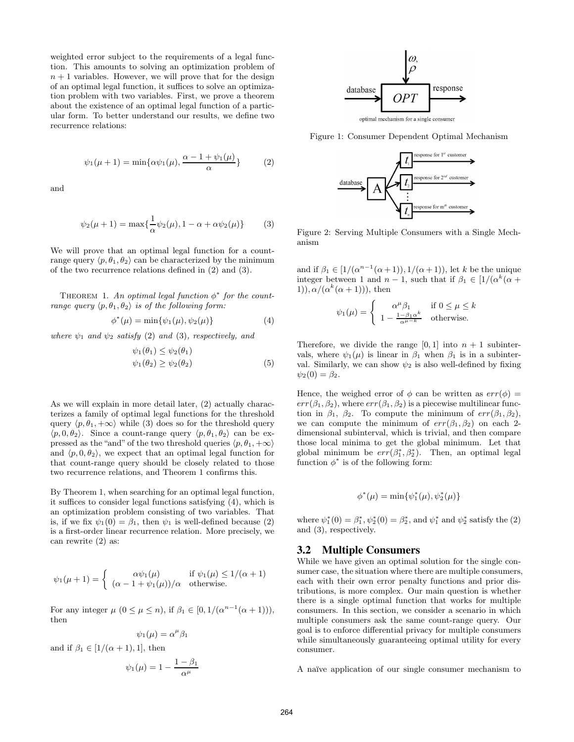weighted error subject to the requirements of a legal function. This amounts to solving an optimization problem of  $n + 1$  variables. However, we will prove that for the design of an optimal legal function, it suffices to solve an optimization problem with two variables. First, we prove a theorem about the existence of an optimal legal function of a particular form. To better understand our results, we define two recurrence relations:

$$
\psi_1(\mu+1) = \min\{\alpha\psi_1(\mu), \frac{\alpha - 1 + \psi_1(\mu)}{\alpha}\}\tag{2}
$$

and

$$
\psi_2(\mu + 1) = \max{\frac{1}{\alpha}\psi_2(\mu), 1 - \alpha + \alpha\psi_2(\mu)}
$$
 (3)

We will prove that an optimal legal function for a countrange query  $\langle p, \theta_1, \theta_2 \rangle$  can be characterized by the minimum of the two recurrence relations defined in (2) and (3).

THEOREM 1. An optimal legal function  $\phi^*$  for the countrange query  $\langle p, \theta_1, \theta_2 \rangle$  is of the following form:

$$
\phi^*(\mu) = \min{\{\psi_1(\mu), \psi_2(\mu)\}}
$$
 (4)

where  $\psi_1$  and  $\psi_2$  satisfy (2) and (3), respectively, and

$$
\psi_1(\theta_1) \le \psi_2(\theta_1)
$$
  

$$
\psi_1(\theta_2) \ge \psi_2(\theta_2)
$$
 (5)

As we will explain in more detail later, (2) actually characterizes a family of optimal legal functions for the threshold query  $\langle p, \theta_1, +\infty \rangle$  while (3) does so for the threshold query  $\langle p, 0, \theta_2 \rangle$ . Since a count-range query  $\langle p, \theta_1, \theta_2 \rangle$  can be expressed as the "and" of the two threshold queries  $\langle p, \theta_1, +\infty \rangle$ and  $\langle p, 0, \theta_2 \rangle$ , we expect that an optimal legal function for that count-range query should be closely related to those two recurrence relations, and Theorem 1 confirms this.

By Theorem 1, when searching for an optimal legal function, it suffices to consider legal functions satisfying (4), which is an optimization problem consisting of two variables. That is, if we fix  $\psi_1(0) = \beta_1$ , then  $\psi_1$  is well-defined because (2) is a first-order linear recurrence relation. More precisely, we can rewrite (2) as:

$$
\psi_1(\mu+1) = \begin{cases} \alpha \psi_1(\mu) & \text{if } \psi_1(\mu) \le 1/(\alpha+1) \\ (\alpha-1+\psi_1(\mu))/\alpha & \text{otherwise.} \end{cases}
$$

For any integer  $\mu$   $(0 \le \mu \le n)$ , if  $\beta_1 \in [0, 1/(\alpha^{n-1}(\alpha+1))),$ then

$$
\psi_1(\mu) = \alpha^{\mu} \beta_1
$$

and if  $\beta_1 \in [1/(\alpha+1), 1]$ , then

$$
\psi_1(\mu) = 1 - \frac{1 - \beta_1}{\alpha^{\mu}}
$$



Figure 1: Consumer Dependent Optimal Mechanism



Figure 2: Serving Multiple Consumers with a Single Mechanism

and if  $\beta_1 \in [1/(\alpha^{n-1}(\alpha+1)), 1/(\alpha+1)),$  let k be the unique integer between 1 and  $n-1$ , such that if  $\beta_1 \in [1/(\alpha^k(\alpha +$ 1),  $\alpha/(\alpha^k(\alpha+1))$ , then

$$
\psi_1(\mu) = \begin{cases} \alpha^{\mu} \beta_1 & \text{if } 0 \le \mu \le k \\ 1 - \frac{1 - \beta_1 \alpha^k}{\alpha^{\mu - k}} & \text{otherwise.} \end{cases}
$$

Therefore, we divide the range  $[0, 1]$  into  $n + 1$  subintervals, where  $\psi_1(\mu)$  is linear in  $\beta_1$  when  $\beta_1$  is in a subinterval. Similarly, we can show  $\psi_2$  is also well-defined by fixing  $\psi_2(0) = \beta_2.$ 

Hence, the weighed error of  $\phi$  can be written as  $err(\phi)$  =  $err(\beta_1, \beta_2)$ , where  $err(\beta_1, \beta_2)$  is a piecewise multilinear function in  $\beta_1$ ,  $\beta_2$ . To compute the minimum of  $err(\beta_1, \beta_2)$ , we can compute the minimum of  $err(\beta_1, \beta_2)$  on each 2dimensional subinterval, which is trivial, and then compare those local minima to get the global minimum. Let that global minimum be  $err(\beta_1^*, \beta_2^*)$ . Then, an optimal legal function  $\phi^*$  is of the following form:

$$
\phi^*(\mu) = \min{\{\psi_1^*(\mu), \psi_2^*(\mu)\}}
$$

where  $\psi_1^*(0) = \beta_1^*, \psi_2^*(0) = \beta_2^*,$  and  $\psi_1^*$  and  $\psi_2^*$  satisfy the (2) and (3), respectively.

### **3.2 Multiple Consumers**

While we have given an optimal solution for the single consumer case, the situation where there are multiple consumers, each with their own error penalty functions and prior distributions, is more complex. Our main question is whether there is a single optimal function that works for multiple consumers. In this section, we consider a scenario in which multiple consumers ask the same count-range query. Our goal is to enforce differential privacy for multiple consumers while simultaneously guaranteeing optimal utility for every consumer.

A naïve application of our single consumer mechanism to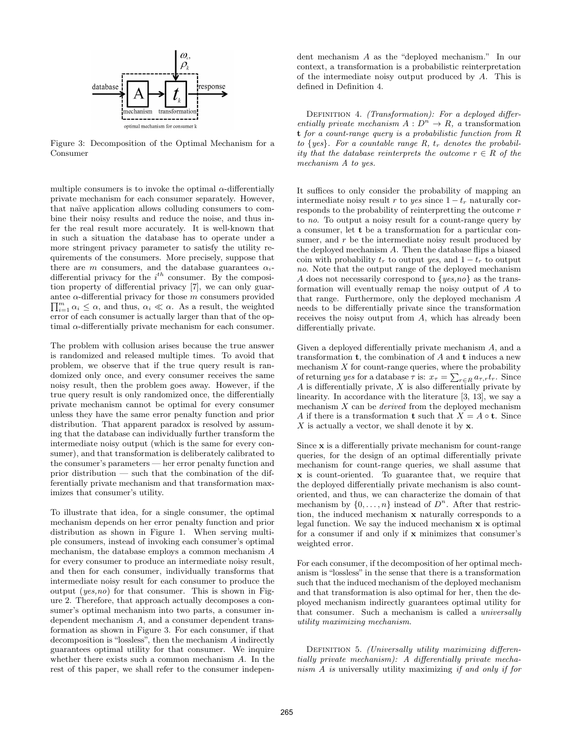

Figure 3: Decomposition of the Optimal Mechanism for a Consumer

multiple consumers is to invoke the optimal  $\alpha$ -differentially private mechanism for each consumer separately. However, that na¨ıve application allows colluding consumers to combine their noisy results and reduce the noise, and thus infer the real result more accurately. It is well-known that in such a situation the database has to operate under a more stringent privacy parameter to satisfy the utility requirements of the consumers. More precisely, suppose that there are m consumers, and the database guarantees  $\alpha_i$ differential privacy for the  $i^{th}$  consumer. By the composition property of differential privacy [7], we can only guar- $\prod_{i=1}^{m} \alpha_i \leq \alpha$ , and thus,  $\alpha_i \ll \alpha$ . As a result, the weighted antee  $\alpha$ -differential privacy for those m consumers provided error of each consumer is actually larger than that of the optimal  $\alpha$ -differentially private mechanism for each consumer.

The problem with collusion arises because the true answer is randomized and released multiple times. To avoid that problem, we observe that if the true query result is randomized only once, and every consumer receives the same noisy result, then the problem goes away. However, if the true query result is only randomized once, the differentially private mechanism cannot be optimal for every consumer unless they have the same error penalty function and prior distribution. That apparent paradox is resolved by assuming that the database can individually further transform the intermediate noisy output (which is the same for every consumer), and that transformation is deliberately calibrated to the consumer's parameters — her error penalty function and prior distribution — such that the combination of the differentially private mechanism and that transformation maximizes that consumer's utility.

To illustrate that idea, for a single consumer, the optimal mechanism depends on her error penalty function and prior distribution as shown in Figure 1. When serving multiple consumers, instead of invoking each consumer's optimal mechanism, the database employs a common mechanism A for every consumer to produce an intermediate noisy result, and then for each consumer, individually transforms that intermediate noisy result for each consumer to produce the output  $(yes, no)$  for that consumer. This is shown in Figure 2. Therefore, that approach actually decomposes a consumer's optimal mechanism into two parts, a consumer independent mechanism A, and a consumer dependent transformation as shown in Figure 3. For each consumer, if that decomposition is "lossless", then the mechanism A indirectly guarantees optimal utility for that consumer. We inquire whether there exists such a common mechanism A. In the rest of this paper, we shall refer to the consumer independent mechanism A as the "deployed mechanism." In our context, a transformation is a probabilistic reinterpretation of the intermediate noisy output produced by A. This is defined in Definition 4.

DEFINITION 4. *(Transformation): For a deployed differ*entially private mechanism  $A: D^n \to R$ , a transformation t for a count-range query is a probabilistic function from R to {yes}. For a countable range R,  $t_r$  denotes the probability that the database reinterprets the outcome  $r \in R$  of the mechanism A to yes.

It suffices to only consider the probability of mapping an intermediate noisy result r to yes since  $1 - t_r$  naturally corresponds to the probability of reinterpretting the outcome r to no. To output a noisy result for a count-range query by a consumer, let t be a transformation for a particular consumer, and  $r$  be the intermediate noisy result produced by the deployed mechanism A. Then the database flips a biased coin with probability  $t_r$  to output yes, and  $1-t_r$  to output no. Note that the output range of the deployed mechanism A does not necessarily correspond to  $\{yes, no\}$  as the transformation will eventually remap the noisy output of A to that range. Furthermore, only the deployed mechanism A needs to be differentially private since the transformation receives the noisy output from A, which has already been differentially private.

Given a deployed differentially private mechanism A, and a transformation t, the combination of A and t induces a new mechanism  $X$  for count-range queries, where the probability of returning yes for a database  $\tau$  is:  $x_{\tau} = \sum_{r \in R} a_{\tau,r} t_r$ . Since A is differentially private,  $X$  is also differentially private by linearity. In accordance with the literature [3, 13], we say a mechanism  $X$  can be *derived* from the deployed mechanism A if there is a transformation **t** such that  $X = A \circ \mathbf{t}$ . Since  $X$  is actually a vector, we shall denote it by  $x$ .

Since x is a differentially private mechanism for count-range queries, for the design of an optimal differentially private mechanism for count-range queries, we shall assume that x is count-oriented. To guarantee that, we require that the deployed differentially private mechanism is also countoriented, and thus, we can characterize the domain of that mechanism by  $\{0, \ldots, n\}$  instead of  $D<sup>n</sup>$ . After that restriction, the induced mechanism x naturally corresponds to a legal function. We say the induced mechanism x is optimal for a consumer if and only if x minimizes that consumer's weighted error.

For each consumer, if the decomposition of her optimal mechanism is "lossless" in the sense that there is a transformation such that the induced mechanism of the deployed mechanism and that transformation is also optimal for her, then the deployed mechanism indirectly guarantees optimal utility for that consumer. Such a mechanism is called a universally utility maximizing mechanism.

DEFINITION 5. (Universally utility maximizing differentially private mechanism): A differentially private mechanism A is universally utility maximizing if and only if for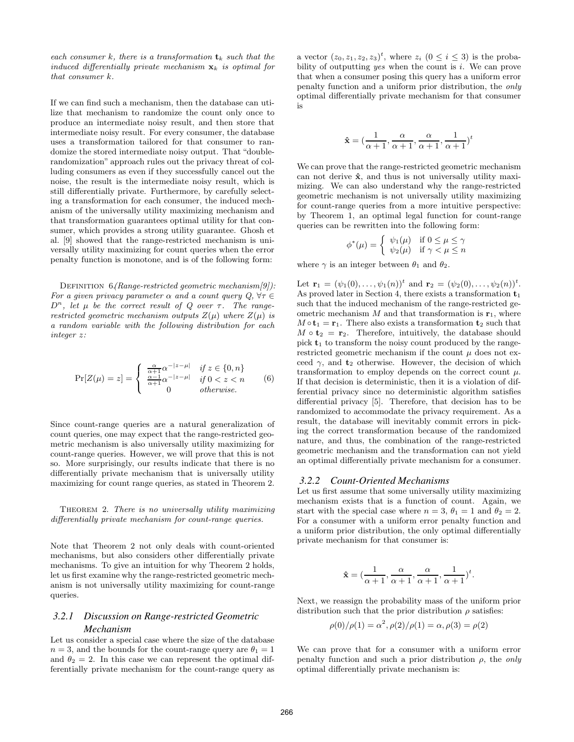each consumer k, there is a transformation  $t_k$  such that the induced differentially private mechanism  $x_k$  is optimal for that consumer k.

If we can find such a mechanism, then the database can utilize that mechanism to randomize the count only once to produce an intermediate noisy result, and then store that intermediate noisy result. For every consumer, the database uses a transformation tailored for that consumer to randomize the stored intermediate noisy output. That "doublerandomization" approach rules out the privacy threat of colluding consumers as even if they successfully cancel out the noise, the result is the intermediate noisy result, which is still differentially private. Furthermore, by carefully selecting a transformation for each consumer, the induced mechanism of the universally utility maximizing mechanism and that transformation guarantees optimal utility for that consumer, which provides a strong utility guarantee. Ghosh et al. [9] showed that the range-restricted mechanism is universally utility maximizing for count queries when the error penalty function is monotone, and is of the following form:

DEFINITION  $6(Range-restricted geometric mechanism[9])$ : For a given privacy parameter  $\alpha$  and a count query  $Q, \forall \tau \in$  $D^n$ , let  $\mu$  be the correct result of Q over  $\tau$ . The rangerestricted geometric mechanism outputs  $Z(\mu)$  where  $Z(\mu)$  is a random variable with the following distribution for each integer z:

$$
\Pr[Z(\mu) = z] = \begin{cases} \frac{\alpha}{\alpha + 1} \alpha^{-|z - \mu|} & \text{if } z \in \{0, n\} \\ \frac{\alpha - 1}{\alpha + 1} \alpha^{-|z - \mu|} & \text{if } 0 < z < n \\ 0 & \text{otherwise.} \end{cases} \tag{6}
$$

Since count-range queries are a natural generalization of count queries, one may expect that the range-restricted geometric mechanism is also universally utility maximizing for count-range queries. However, we will prove that this is not so. More surprisingly, our results indicate that there is no differentially private mechanism that is universally utility maximizing for count range queries, as stated in Theorem 2.

THEOREM 2. There is no universally utility maximizing differentially private mechanism for count-range queries.

Note that Theorem 2 not only deals with count-oriented mechanisms, but also considers other differentially private mechanisms. To give an intuition for why Theorem 2 holds, let us first examine why the range-restricted geometric mechanism is not universally utility maximizing for count-range queries.

# *3.2.1 Discussion on Range-restricted Geometric Mechanism*

Let us consider a special case where the size of the database  $n = 3$ , and the bounds for the count-range query are  $\theta_1 = 1$ and  $\theta_2 = 2$ . In this case we can represent the optimal differentially private mechanism for the count-range query as

a vector  $(z_0, z_1, z_2, z_3)^t$ , where  $z_i$   $(0 \leq i \leq 3)$  is the probability of outputting yes when the count is  $i$ . We can prove that when a consumer posing this query has a uniform error penalty function and a uniform prior distribution, the only optimal differentially private mechanism for that consumer is

$$
\hat{\mathbf{x}} = (\frac{1}{\alpha+1}, \frac{\alpha}{\alpha+1}, \frac{\alpha}{\alpha+1}, \frac{1}{\alpha+1})^t
$$

We can prove that the range-restricted geometric mechanism can not derive  $\hat{\mathbf{x}}$ , and thus is not universally utility maximizing. We can also understand why the range-restricted geometric mechanism is not universally utility maximizing for count-range queries from a more intuitive perspective: by Theorem 1, an optimal legal function for count-range queries can be rewritten into the following form:

$$
\phi^*(\mu) = \begin{cases} \psi_1(\mu) & \text{if } 0 \le \mu \le \gamma \\ \psi_2(\mu) & \text{if } \gamma < \mu \le n \end{cases}
$$

where  $\gamma$  is an integer between  $\theta_1$  and  $\theta_2$ .

Let  $\mathbf{r}_1 = (\psi_1(0), \dots, \psi_1(n))^t$  and  $\mathbf{r}_2 = (\psi_2(0), \dots, \psi_2(n))^t$ . As proved later in Section 4, there exists a transformation  $t_1$ such that the induced mechanism of the range-restricted geometric mechanism  $M$  and that transformation is  $\mathbf{r}_1$ , where  $M \circ \mathbf{t}_1 = \mathbf{r}_1$ . There also exists a transformation  $\mathbf{t}_2$  such that  $M \circ t_2 = r_2$ . Therefore, intuitively, the database should pick  $t_1$  to transform the noisy count produced by the rangerestricted geometric mechanism if the count  $\mu$  does not exceed  $\gamma$ , and  $t_2$  otherwise. However, the decision of which transformation to employ depends on the correct count  $\mu$ . If that decision is deterministic, then it is a violation of differential privacy since no deterministic algorithm satisfies differential privacy [5]. Therefore, that decision has to be randomized to accommodate the privacy requirement. As a result, the database will inevitably commit errors in picking the correct transformation because of the randomized nature, and thus, the combination of the range-restricted geometric mechanism and the transformation can not yield an optimal differentially private mechanism for a consumer.

#### *3.2.2 Count-Oriented Mechanisms*

Let us first assume that some universally utility maximizing mechanism exists that is a function of count. Again, we start with the special case where  $n = 3$ ,  $\theta_1 = 1$  and  $\theta_2 = 2$ . For a consumer with a uniform error penalty function and a uniform prior distribution, the only optimal differentially private mechanism for that consumer is:

$$
\hat{\mathbf{x}} = (\frac{1}{\alpha+1}, \frac{\alpha}{\alpha+1}, \frac{\alpha}{\alpha+1}, \frac{1}{\alpha+1})^t.
$$

Next, we reassign the probability mass of the uniform prior distribution such that the prior distribution  $\rho$  satisfies:

$$
\rho(0)/\rho(1) = \alpha^2, \rho(2)/\rho(1) = \alpha, \rho(3) = \rho(2)
$$

We can prove that for a consumer with a uniform error penalty function and such a prior distribution  $\rho$ , the only optimal differentially private mechanism is: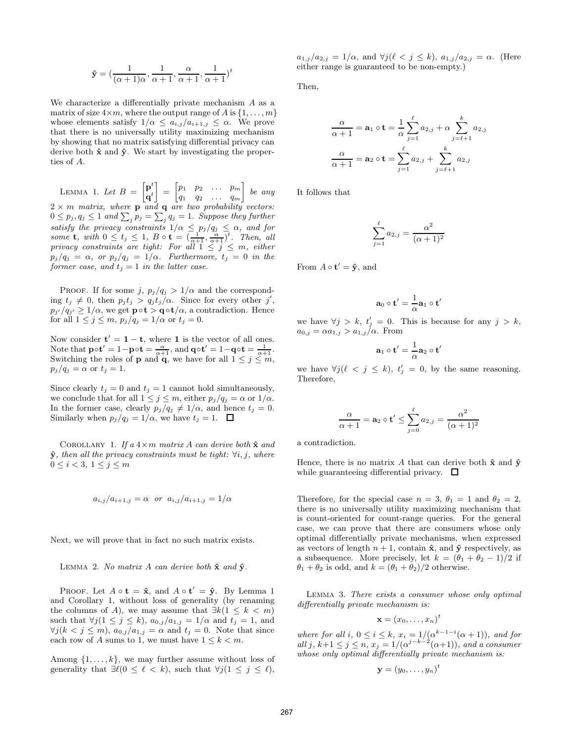$$
\hat{\mathbf{y}} = (\frac{1}{(\alpha+1)\alpha}, \frac{1}{\alpha+1}, \frac{\alpha}{\alpha+1}, \frac{1}{\alpha+1})^t
$$

We characterize a differentially private mechanism  $A$  as a matrix of size  $4 \times m$ , where the output range of A is  $\{1, \ldots, m\}$ whose elements satisfy  $1/\alpha \leq a_{i,j}/a_{i+1,j} \leq \alpha$ . We prove that there is no universally utility maximizing mechanism by showing that no matrix satisfying differential privacy can derive both  $\hat{x}$  and  $\hat{y}$ . We start by investigating the properties of A.

LEMMA 1. Let  $B = \begin{bmatrix} \mathbf{p}^t \\ \mathbf{p}^t \end{bmatrix}$  $\begin{bmatrix} \mathbf{p}^t \ \mathbf{q}^t \end{bmatrix} \ = \ \begin{bmatrix} p_1 & p_2 & \dots & p_m \ q_1 & q_2 & \dots & q_m \end{bmatrix}$  $q_1$   $q_2$  ...  $q_m$  $\Big]$  be any  $2 \times m$  matrix, where **p** and **q** are two probability vectors:  $0 \leq p_j, q_j \leq 1$  and  $\sum_j p_j = \sum_j q_j = 1$ . Suppose they further satisfy the privacy constraints  $1/\alpha \leq p_j/q_j \leq \alpha$ , and for some **t**, with  $0 \le t_j \le 1$ ,  $B \circ \mathbf{t} = (\frac{1}{\alpha+1}, \frac{\alpha}{\alpha+1})^t$ . Then, all privacy constraints are tight: For all  $1 \leq j \leq m$ , either  $p_j/q_j = \alpha$ , or  $p_j/q_j = 1/\alpha$ . Furthermore,  $t_j = 0$  in the former case, and  $t_i = 1$  in the latter case.

PROOF. If for some j,  $p_j/q_j > 1/\alpha$  and the corresponding  $t_j \neq 0$ , then  $p_j t_j > q_j t_j/\alpha$ . Since for every other j',  $p_{j'}/q_{j'} \ge 1/\alpha$ , we get  $\mathbf{p} \circ \mathbf{t} > \mathbf{q} \circ \mathbf{t}/\alpha$ , a contradiction. Hence for all  $1 \leq j \leq m$ ,  $p_j/q_j = 1/\alpha$  or  $t_j = 0$ .

Now consider  $t' = 1 - t$ , where 1 is the vector of all ones. Note that  $\mathbf{p} \circ \mathbf{t}' = 1 - \mathbf{p} \circ \mathbf{t} = \frac{\alpha}{\alpha+1}$ , and  $\mathbf{q} \circ \mathbf{t}' = 1 - \mathbf{q} \circ \mathbf{t} = \frac{1}{\alpha+1}$ . Switching the roles of **p** and **q**, we have for all  $1 \leq j \leq m$ ,  $p_j/q_j = \alpha$  or  $t_j = 1$ .

Since clearly  $t_j = 0$  and  $t_j = 1$  cannot hold simultaneously, we conclude that for all  $1 \leq j \leq m$ , either  $p_j/q_j = \alpha$  or  $1/\alpha$ . In the former case, clearly  $p_j/q_j \neq 1/\alpha$ , and hence  $t_j = 0$ . Similarly when  $p_j/q_j = 1/\alpha$ , we have  $t_j = 1$ .  $\Box$ 

COROLLARY 1. If a  $4 \times m$  matrix A can derive both  $\hat{\mathbf{x}}$  and  $\hat{\mathbf{y}}$ , then all the privacy constraints must be tight:  $\forall i, j$ , where  $0 \leq i < 3, 1 \leq j \leq m$ 

$$
a_{i,j}/a_{i+1,j} = \alpha
$$
 or  $a_{i,j}/a_{i+1,j} = 1/\alpha$ 

Next, we will prove that in fact no such matrix exists.

#### LEMMA 2. No matrix A can derive both  $\hat{\mathbf{x}}$  and  $\hat{\mathbf{y}}$ .

PROOF. Let  $A \circ \mathbf{t} = \hat{\mathbf{x}}$ , and  $A \circ \mathbf{t}' = \hat{\mathbf{y}}$ . By Lemma 1 and Corollary 1, without loss of generality (by renaming the columns of A), we may assume that  $\exists k(1 \leq k < m)$ such that  $\forall j(1 \leq j \leq k), a_{0,j}/a_{1,j} = 1/\alpha$  and  $t_j = 1$ , and  $\forall j (k < j \leq m)$ ,  $a_{0,j}/a_{1,j} = \alpha$  and  $t_j = 0$ . Note that since each row of A sums to 1, we must have  $1 \leq k < m$ .

Among  $\{1, \ldots, k\}$ , we may further assume without loss of generality that  $\exists \ell (0 \leq \ell < k)$ , such that  $\forall j (1 \leq j \leq \ell)$ ,

 $a_{1,j}/a_{2,j} = 1/\alpha$ , and  $\forall j(\ell \leq j \leq k)$ ,  $a_{1,j}/a_{2,j} = \alpha$ . (Here either range is guaranteed to be non-empty.)

Then,

$$
\frac{\alpha}{\alpha+1} = \mathbf{a}_1 \circ \mathbf{t} = \frac{1}{\alpha} \sum_{j=1}^{\ell} a_{2,j} + \alpha \sum_{j=\ell+1}^{k} a_{2,j}
$$

$$
\frac{\alpha}{\alpha+1} = \mathbf{a}_2 \circ \mathbf{t} = \sum_{j=1}^{\ell} a_{2,j} + \sum_{j=\ell+1}^{k} a_{2,j}
$$

It follows that

$$
\sum_{j=1}^{\ell} a_{2,j} = \frac{\alpha^2}{(\alpha+1)^2}
$$

From  $A \circ \mathbf{t}' = \hat{\mathbf{y}}$ , and

$$
\mathbf{a}_0 \circ \mathbf{t}' = \frac{1}{\alpha} \mathbf{a}_1 \circ \mathbf{t}'
$$

we have  $\forall j > k, t'_j = 0$ . This is because for any  $j > k$ ,  $a_{0,j} = \alpha a_{1,j} > a_{1,j}/\alpha$ . From

$$
\mathbf{a}_1 \circ \mathbf{t}' = \frac{1}{\alpha} \mathbf{a}_2 \circ \mathbf{t}'
$$

we have  $\forall j(\ell \leq j \leq k), t'_j = 0$ , by the same reasoning. Therefore,

$$
\frac{\alpha}{\alpha+1}=\mathbf{a}_2\circ \mathbf{t}'\leq \sum_{j=0}^\ell a_{2,j}=\frac{\alpha^2}{(\alpha+1)^2}
$$

a contradiction.

Hence, there is no matrix A that can derive both  $\hat{\mathbf{x}}$  and  $\hat{\mathbf{y}}$ while guaranteeing differential privacy.  $\Box$ 

Therefore, for the special case  $n = 3$ ,  $\theta_1 = 1$  and  $\theta_2 = 2$ , there is no universally utility maximizing mechanism that is count-oriented for count-range queries. For the general case, we can prove that there are consumers whose only optimal differentially private mechanisms, when expressed as vectors of length  $n + 1$ , contain  $\hat{\mathbf{x}}$ , and  $\hat{\mathbf{y}}$  respectively, as a subsequence. More precisely, let  $k = (\theta_1 + \theta_2 - 1)/2$  if  $\theta_1 + \theta_2$  is odd, and  $k = (\theta_1 + \theta_2)/2$  otherwise.

Lemma 3. There exists a consumer whose only optimal differentially private mechanism is:

$$
\mathbf{x}=(x_0,\ldots,x_n)^t
$$

where for all i,  $0 \le i \le k$ ,  $x_i = 1/(\alpha^{k-1-i}(\alpha+1))$ , and for all j,  $k+1 \leq j \leq n$ ,  $x_j = 1/(\alpha^{j-k-2}(\alpha+1))$ , and a consumer whose only optimal differentially private mechanism is:

$$
\mathbf{y} = (y_0, \dots, y_n)^t
$$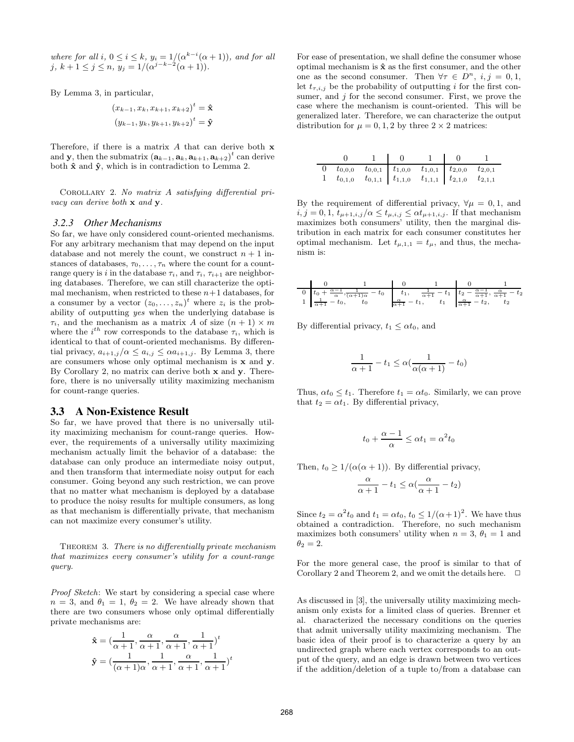where for all i,  $0 \leq i \leq k$ ,  $y_i = 1/(\alpha^{k-i}(\alpha+1))$ , and for all j,  $k + 1 \leq j \leq n$ ,  $y_j = 1/(\alpha^{j-k-2}(\alpha+1)).$ 

By Lemma 3, in particular,

$$
(x_{k-1}, x_k, x_{k+1}, x_{k+2})^t = \hat{\mathbf{x}}
$$
  

$$
(y_{k-1}, y_k, y_{k+1}, y_{k+2})^t = \hat{\mathbf{y}}
$$

Therefore, if there is a matrix  $A$  that can derive both  $x$ and y, then the submatrix  $(\mathbf{a}_{k-1}, \mathbf{a}_k, \mathbf{a}_{k+1}, \mathbf{a}_{k+2})^t$  can derive both  $\hat{\mathbf{x}}$  and  $\hat{\mathbf{y}}$ , which is in contradiction to Lemma 2.

Corollary 2. No matrix A satisfying differential privacy can derive both **x** and **y**.

#### *3.2.3 Other Mechanisms*

So far, we have only considered count-oriented mechanisms. For any arbitrary mechanism that may depend on the input database and not merely the count, we construct  $n + 1$  instances of databases,  $\tau_0, \ldots, \tau_n$  where the count for a countrange query is i in the database  $\tau_i$ , and  $\tau_i$ ,  $\tau_{i+1}$  are neighboring databases. Therefore, we can still characterize the optimal mechanism, when restricted to these  $n+1$  databases, for a consumer by a vector  $(z_0, \ldots, z_n)^t$  where  $z_i$  is the probability of outputting yes when the underlying database is  $\tau_i$ , and the mechanism as a matrix A of size  $(n + 1) \times m$ where the  $i^{th}$  row corresponds to the database  $\tau_i$ , which is identical to that of count-oriented mechanisms. By differential privacy,  $a_{i+1,j}/\alpha \leq a_{i,j} \leq \alpha a_{i+1,j}$ . By Lemma 3, there are consumers whose only optimal mechanism is x and y. By Corollary 2, no matrix can derive both x and y. Therefore, there is no universally utility maximizing mechanism for count-range queries.

### **3.3 A Non-Existence Result**

So far, we have proved that there is no universally utility maximizing mechanism for count-range queries. However, the requirements of a universally utility maximizing mechanism actually limit the behavior of a database: the database can only produce an intermediate noisy output, and then transform that intermediate noisy output for each consumer. Going beyond any such restriction, we can prove that no matter what mechanism is deployed by a database to produce the noisy results for multiple consumers, as long as that mechanism is differentially private, that mechanism can not maximize every consumer's utility.

THEOREM 3. There is no differentially private mechanism that maximizes every consumer's utility for a count-range query.

Proof Sketch: We start by considering a special case where  $n = 3$ , and  $\theta_1 = 1$ ,  $\theta_2 = 2$ . We have already shown that there are two consumers whose only optimal differentially private mechanisms are:

$$
\hat{\mathbf{x}} = (\frac{1}{\alpha+1}, \frac{\alpha}{\alpha+1}, \frac{\alpha}{\alpha+1}, \frac{1}{\alpha+1})^t
$$
  

$$
\hat{\mathbf{y}} = (\frac{1}{(\alpha+1)\alpha}, \frac{1}{\alpha+1}, \frac{\alpha}{\alpha+1}, \frac{1}{\alpha+1})^t
$$

For ease of presentation, we shall define the consumer whose optimal mechanism is  $\hat{x}$  as the first consumer, and the other one as the second consumer. Then  $\forall \tau \in D^n$ ,  $i, j = 0, 1$ , let  $t_{\tau,i,j}$  be the probability of outputting i for the first consumer, and  $j$  for the second consumer. First, we prove the case where the mechanism is count-oriented. This will be generalized later. Therefore, we can characterize the output distribution for  $\mu = 0, 1, 2$  by three  $2 \times 2$  matrices:

|  |  | $\begin{array}{cccc} 0 & t_{0,0,0} & t_{0,0,1} & t_{1,0,0} & t_{1,0,1} & t_{2,0,0} & t_{2,0,1} \end{array}$ |  |
|--|--|-------------------------------------------------------------------------------------------------------------|--|
|  |  | 1 $t_{0,1,0}$ $t_{0,1,1}$ $t_{1,1,0}$ $t_{1,1,1}$ $t_{2,1,0}$ $t_{2,1,1}$                                   |  |

By the requirement of differential privacy,  $\forall \mu = 0, 1$ , and  $i, j = 0, 1, t_{\mu+1,i,j}/\alpha \leq t_{\mu,i,j} \leq \alpha t_{\mu+1,i,j}$ . If that mechanism maximizes both consumers' utility, then the marginal distribution in each matrix for each consumer constitutes her optimal mechanism. Let  $t_{\mu,1,1} = t_{\mu}$ , and thus, the mechanism is:

$$
\begin{array}{c|c|c|c|c} 0 & 1 & 0 & 1 & 0 & 1 \\ \hline 0 & t_0+\frac{\alpha-1}{\alpha}, & \frac{1}{(\alpha+1)\alpha}-t_0 & t_1, & \frac{1}{\alpha+1}-t_1 & t_2-\frac{\alpha-1}{\alpha+1}, & \frac{\alpha}{\alpha+1}-t_2 \\ 1 & \frac{1}{\alpha+1}-t_0, & t_0 & \frac{\alpha}{\alpha+1}-t_1, & t_1 & \frac{\alpha}{\alpha+1}-t_2, & t_2 \end{array}
$$

By differential privacy,  $t_1 \leq \alpha t_0$ , and

$$
\frac{1}{\alpha+1} - t_1 \le \alpha \left( \frac{1}{\alpha(\alpha+1)} - t_0 \right)
$$

Thus,  $\alpha t_0 \leq t_1$ . Therefore  $t_1 = \alpha t_0$ . Similarly, we can prove that  $t_2 = \alpha t_1$ . By differential privacy,

$$
t_0 + \frac{\alpha - 1}{\alpha} \le \alpha t_1 = \alpha^2 t_0
$$

Then,  $t_0 \geq 1/(\alpha(\alpha+1))$ . By differential privacy,

$$
\frac{\alpha}{\alpha+1} - t_1 \le \alpha \left( \frac{\alpha}{\alpha+1} - t_2 \right)
$$

Since  $t_2 = \alpha^2 t_0$  and  $t_1 = \alpha t_0$ ,  $t_0 \le 1/(\alpha + 1)^2$ . We have thus obtained a contradiction. Therefore, no such mechanism maximizes both consumers' utility when  $n = 3$ ,  $\theta_1 = 1$  and  $\theta_2 = 2.$ 

For the more general case, the proof is similar to that of Corollary 2 and Theorem 2, and we omit the details here.  $\Box$ 

As discussed in [3], the universally utility maximizing mechanism only exists for a limited class of queries. Brenner et al. characterized the necessary conditions on the queries that admit universally utility maximizing mechanism. The basic idea of their proof is to characterize a query by an undirected graph where each vertex corresponds to an output of the query, and an edge is drawn between two vertices if the addition/deletion of a tuple to/from a database can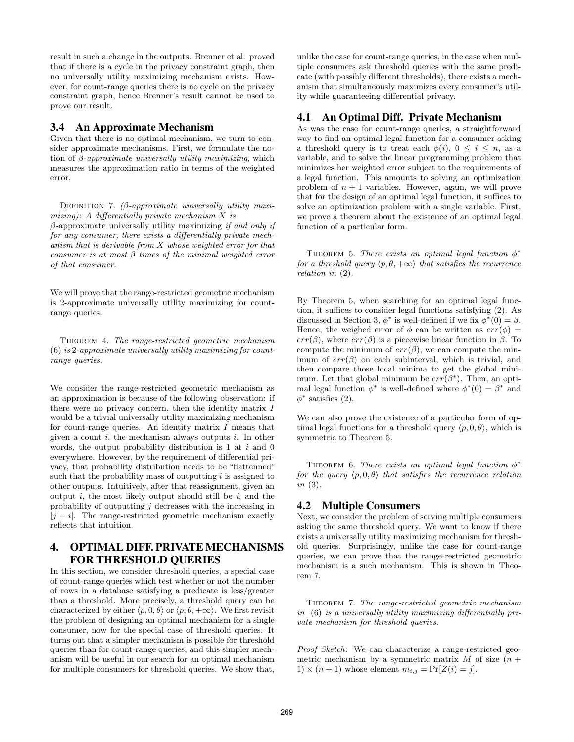result in such a change in the outputs. Brenner et al. proved that if there is a cycle in the privacy constraint graph, then no universally utility maximizing mechanism exists. However, for count-range queries there is no cycle on the privacy constraint graph, hence Brenner's result cannot be used to prove our result.

### **3.4 An Approximate Mechanism**

Given that there is no optimal mechanism, we turn to consider approximate mechanisms. First, we formulate the notion of  $\beta$ -*approximate universally utility maximizing*, which measures the approximation ratio in terms of the weighted error.

DEFINITION 7.  $(\beta$ -approximate universally utility maximizing): A differentially private mechanism  $X$  is  $\beta$ -approximate universally utility maximizing if and only if for any consumer, there exists a differentially private mechanism that is derivable from X whose weighted error for that consumer is at most  $\beta$  times of the minimal weighted error of that consumer.

We will prove that the range-restricted geometric mechanism is 2-approximate universally utility maximizing for countrange queries.

Theorem 4. The range-restricted geometric mechanism (6) is 2-approximate universally utility maximizing for countrange queries.

We consider the range-restricted geometric mechanism as an approximation is because of the following observation: if there were no privacy concern, then the identity matrix  $I$ would be a trivial universally utility maximizing mechanism for count-range queries. An identity matrix  $I$  means that given a count  $i$ , the mechanism always outputs  $i$ . In other words, the output probability distribution is 1 at  $i$  and 0 everywhere. However, by the requirement of differential privacy, that probability distribution needs to be "flattenned" such that the probability mass of outputting  $i$  is assigned to other outputs. Intuitively, after that reassignment, given an output  $i$ , the most likely output should still be  $i$ , and the probability of outputting  $j$  decreases with the increasing in  $|j - i|$ . The range-restricted geometric mechanism exactly reflects that intuition.

# **4. OPTIMAL DIFF. PRIVATE MECHANISMS FOR THRESHOLD QUERIES**

In this section, we consider threshold queries, a special case of count-range queries which test whether or not the number of rows in a database satisfying a predicate is less/greater than a threshold. More precisely, a threshold query can be characterized by either  $\langle p, 0, \theta \rangle$  or  $\langle p, \theta, +\infty \rangle$ . We first revisit the problem of designing an optimal mechanism for a single consumer, now for the special case of threshold queries. It turns out that a simpler mechanism is possible for threshold queries than for count-range queries, and this simpler mechanism will be useful in our search for an optimal mechanism for multiple consumers for threshold queries. We show that,

unlike the case for count-range queries, in the case when multiple consumers ask threshold queries with the same predicate (with possibly different thresholds), there exists a mechanism that simultaneously maximizes every consumer's utility while guaranteeing differential privacy.

# **4.1 An Optimal Diff. Private Mechanism**

As was the case for count-range queries, a straightforward way to find an optimal legal function for a consumer asking a threshold query is to treat each  $\phi(i)$ ,  $0 \leq i \leq n$ , as a variable, and to solve the linear programming problem that minimizes her weighted error subject to the requirements of a legal function. This amounts to solving an optimization problem of  $n + 1$  variables. However, again, we will prove that for the design of an optimal legal function, it suffices to solve an optimization problem with a single variable. First, we prove a theorem about the existence of an optimal legal function of a particular form.

THEOREM 5. There exists an optimal legal function  $\phi^*$ for a threshold query  $\langle p, \theta, +\infty \rangle$  that satisfies the recurrence relation in (2).

By Theorem 5, when searching for an optimal legal function, it suffices to consider legal functions satisfying (2). As discussed in Section 3,  $\phi^*$  is well-defined if we fix  $\phi^*(0) = \beta$ . Hence, the weighed error of  $\phi$  can be written as  $err(\phi)$  =  $err(\beta)$ , where  $err(\beta)$  is a piecewise linear function in  $\beta$ . To compute the minimum of  $err(\beta)$ , we can compute the minimum of  $err(\beta)$  on each subinterval, which is trivial, and then compare those local minima to get the global minimum. Let that global minimum be  $err(\beta^*)$ . Then, an optimal legal function  $\phi^*$  is well-defined where  $\phi^*(0) = \beta^*$  and  $\phi^*$  satisfies (2).

We can also prove the existence of a particular form of optimal legal functions for a threshold query  $\langle p, 0, \theta \rangle$ , which is symmetric to Theorem 5.

THEOREM 6. There exists an optimal legal function  $\phi^*$ for the query  $\langle p, 0, \theta \rangle$  that satisfies the recurrence relation in (3).

### **4.2 Multiple Consumers**

Next, we consider the problem of serving multiple consumers asking the same threshold query. We want to know if there exists a universally utility maximizing mechanism for threshold queries. Surprisingly, unlike the case for count-range queries, we can prove that the range-restricted geometric mechanism is a such mechanism. This is shown in Theorem 7.

Theorem 7. The range-restricted geometric mechanism in (6) is a universally utility maximizing differentially private mechanism for threshold queries.

Proof Sketch: We can characterize a range-restricted geometric mechanism by a symmetric matrix  $M$  of size  $(n +$ 1)  $\times$  (n + 1) whose element  $m_{i,j} = \Pr[Z(i) = j].$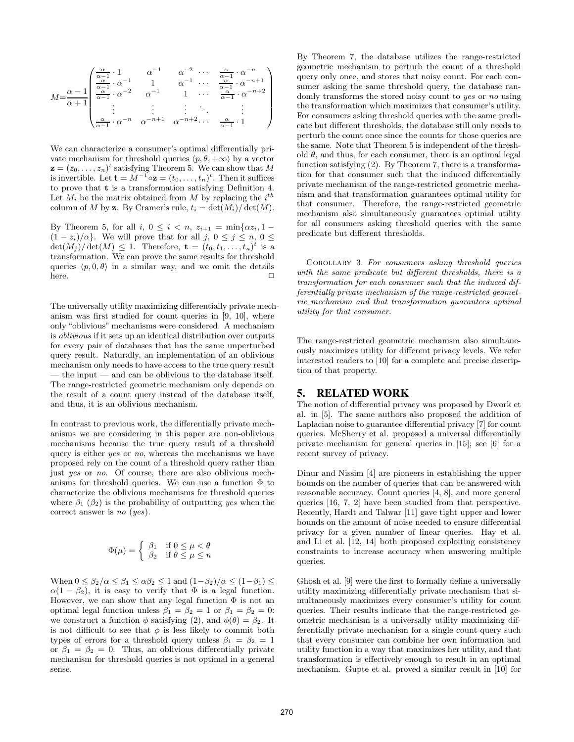$$
M = \frac{\alpha - 1}{\alpha + 1} \begin{pmatrix} \frac{\alpha}{\alpha - 1} \cdot 1 & \alpha^{-1} & \alpha^{-2} & \cdots & \frac{\alpha}{\alpha - 1} \cdot \alpha^{-n} \\ \frac{\alpha}{\alpha - 1} \cdot \alpha^{-1} & 1 & \alpha^{-1} & \cdots & \frac{\alpha}{\alpha - 1} \cdot \alpha^{-n+1} \\ \frac{\alpha}{\alpha - 1} \cdot \alpha^{-2} & \alpha^{-1} & 1 & \cdots & \frac{\alpha}{\alpha - 1} \cdot \alpha^{-n+2} \\ \vdots & \vdots & \vdots & \ddots & \vdots \\ \frac{\alpha}{\alpha - 1} \cdot \alpha^{-n} & \alpha^{-n+1} & \alpha^{-n+2} \cdots & \frac{\alpha}{\alpha - 1} \cdot 1 \end{pmatrix}
$$

We can characterize a consumer's optimal differentially private mechanism for threshold queries  $\langle p, \theta, +\infty \rangle$  by a vector  $\mathbf{z} = (z_0, \dots, z_n)^t$  satisfying Theorem 5. We can show that M is invertible. Let  $\mathbf{t} = M^{-1} \circ \mathbf{z} = (t_0, \dots, t_n)^t$ . Then it suffices to prove that t is a transformation satisfying Definition 4. Let  $M_i$  be the matrix obtained from M by replacing the  $i^{th}$ column of M by z. By Cramer's rule,  $t_i = \det(M_i)/\det(M_i)$ .

By Theorem 5, for all i,  $0 \leq i \leq n$ ,  $z_{i+1} = \min\{\alpha z_i, 1 (1 - z_i)/\alpha$ . We will prove that for all j,  $0 \le j \le n, 0 \le \alpha$  $\det(M_j)/\det(M) \leq 1$ . Therefore,  $\mathbf{t} = (t_0, t_1, \ldots, t_n)^t$  is a transformation. We can prove the same results for threshold queries  $\langle p, 0, \theta \rangle$  in a similar way, and we omit the details here.

The universally utility maximizing differentially private mechanism was first studied for count queries in [9, 10], where only "oblivious" mechanisms were considered. A mechanism is oblivious if it sets up an identical distribution over outputs for every pair of databases that has the same unperturbed query result. Naturally, an implementation of an oblivious mechanism only needs to have access to the true query result the input  $-$  and can be oblivious to the database itself. The range-restricted geometric mechanism only depends on the result of a count query instead of the database itself, and thus, it is an oblivious mechanism.

In contrast to previous work, the differentially private mechanisms we are considering in this paper are non-oblivious mechanisms because the true query result of a threshold query is either yes or no, whereas the mechanisms we have proposed rely on the count of a threshold query rather than just yes or no. Of course, there are also oblivious mechanisms for threshold queries. We can use a function  $\Phi$  to characterize the oblivious mechanisms for threshold queries where  $\beta_1$  ( $\beta_2$ ) is the probability of outputting yes when the correct answer is no (yes).

$$
\Phi(\mu) = \begin{cases} \beta_1 & \text{if } 0 \le \mu < \theta \\ \beta_2 & \text{if } \theta \le \mu \le n \end{cases}
$$

When  $0 \leq \beta_2/\alpha \leq \beta_1 \leq \alpha\beta_2 \leq 1$  and  $(1-\beta_2)/\alpha \leq (1-\beta_1) \leq$  $\alpha(1 - \beta_2)$ , it is easy to verify that  $\Phi$  is a legal function. However, we can show that any legal function  $\Phi$  is not an optimal legal function unless  $\beta_1 = \beta_2 = 1$  or  $\beta_1 = \beta_2 = 0$ : we construct a function  $\phi$  satisfying (2), and  $\phi(\theta) = \beta_2$ . It is not difficult to see that  $\phi$  is less likely to commit both types of errors for a threshold query unless  $\beta_1 = \beta_2 = 1$ or  $\beta_1 = \beta_2 = 0$ . Thus, an oblivious differentially private mechanism for threshold queries is not optimal in a general sense.

By Theorem 7, the database utilizes the range-restricted geometric mechanism to perturb the count of a threshold query only once, and stores that noisy count. For each consumer asking the same threshold query, the database randomly transforms the stored noisy count to yes or no using the transformation which maximizes that consumer's utility. For consumers asking threshold queries with the same predicate but different thresholds, the database still only needs to perturb the count once since the counts for those queries are the same. Note that Theorem 5 is independent of the threshold  $\theta$ , and thus, for each consumer, there is an optimal legal function satisfying (2). By Theorem 7, there is a transformation for that consumer such that the induced differentially private mechanism of the range-restricted geometric mechanism and that transformation guarantees optimal utility for that consumer. Therefore, the range-restricted geometric mechanism also simultaneously guarantees optimal utility for all consumers asking threshold queries with the same predicate but different thresholds.

Corollary 3. For consumers asking threshold queries with the same predicate but different thresholds, there is a transformation for each consumer such that the induced differentially private mechanism of the range-restricted geometric mechanism and that transformation guarantees optimal utility for that consumer.

The range-restricted geometric mechanism also simultaneously maximizes utility for different privacy levels. We refer interested readers to [10] for a complete and precise description of that property.

### **5. RELATED WORK**

The notion of differential privacy was proposed by Dwork et al. in [5]. The same authors also proposed the addition of Laplacian noise to guarantee differential privacy [7] for count queries. McSherry et al. proposed a universal differentially private mechanism for general queries in [15]; see [6] for a recent survey of privacy.

Dinur and Nissim [4] are pioneers in establishing the upper bounds on the number of queries that can be answered with reasonable accuracy. Count queries [4, 8], and more general queries [16, 7, 2] have been studied from that perspective. Recently, Hardt and Talwar [11] gave tight upper and lower bounds on the amount of noise needed to ensure differential privacy for a given number of linear queries. Hay et al. and Li et al. [12, 14] both proposed exploiting consistency constraints to increase accuracy when answering multiple queries.

Ghosh et al. [9] were the first to formally define a universally utility maximizing differentially private mechanism that simultaneously maximizes every consumer's utility for count queries. Their results indicate that the range-restricted geometric mechanism is a universally utility maximizing differentially private mechanism for a single count query such that every consumer can combine her own information and utility function in a way that maximizes her utility, and that transformation is effectively enough to result in an optimal mechanism. Gupte et al. proved a similar result in [10] for